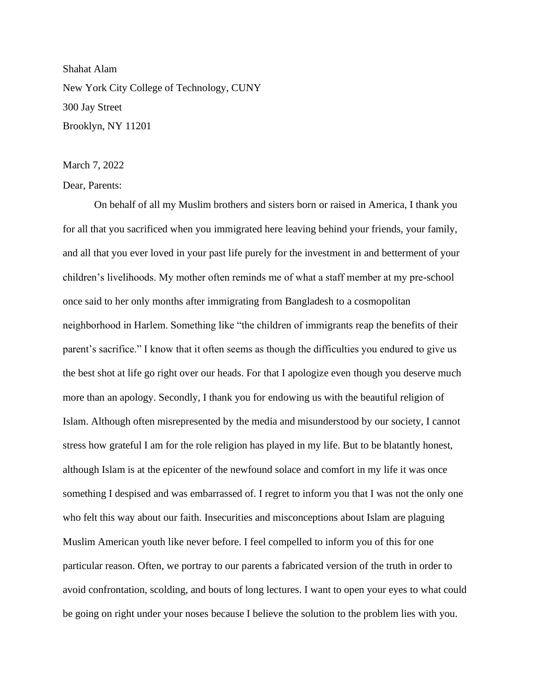Shahat Alam New York City College of Technology, CUNY 300 Jay Street Brooklyn, NY 11201

## March 7, 2022

Dear, Parents:

On behalf of all my Muslim brothers and sisters born or raised in America, I thank you for all that you sacrificed when you immigrated here leaving behind your friends, your family, and all that you ever loved in your past life purely for the investment in and betterment of your children's livelihoods. My mother often reminds me of what a staff member at my pre-school once said to her only months after immigrating from Bangladesh to a cosmopolitan neighborhood in Harlem. Something like "the children of immigrants reap the benefits of their parent's sacrifice." I know that it often seems as though the difficulties you endured to give us the best shot at life go right over our heads. For that I apologize even though you deserve much more than an apology. Secondly, I thank you for endowing us with the beautiful religion of Islam. Although often misrepresented by the media and misunderstood by our society, I cannot stress how grateful I am for the role religion has played in my life. But to be blatantly honest, although Islam is at the epicenter of the newfound solace and comfort in my life it was once something I despised and was embarrassed of. I regret to inform you that I was not the only one who felt this way about our faith. Insecurities and misconceptions about Islam are plaguing Muslim American youth like never before. I feel compelled to inform you of this for one particular reason. Often, we portray to our parents a fabricated version of the truth in order to avoid confrontation, scolding, and bouts of long lectures. I want to open your eyes to what could be going on right under your noses because I believe the solution to the problem lies with you.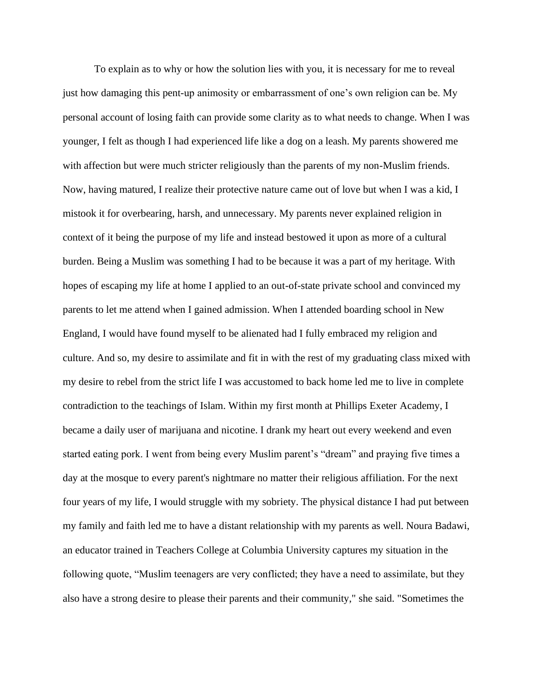To explain as to why or how the solution lies with you, it is necessary for me to reveal just how damaging this pent-up animosity or embarrassment of one's own religion can be. My personal account of losing faith can provide some clarity as to what needs to change. When I was younger, I felt as though I had experienced life like a dog on a leash. My parents showered me with affection but were much stricter religiously than the parents of my non-Muslim friends. Now, having matured, I realize their protective nature came out of love but when I was a kid, I mistook it for overbearing, harsh, and unnecessary. My parents never explained religion in context of it being the purpose of my life and instead bestowed it upon as more of a cultural burden. Being a Muslim was something I had to be because it was a part of my heritage. With hopes of escaping my life at home I applied to an out-of-state private school and convinced my parents to let me attend when I gained admission. When I attended boarding school in New England, I would have found myself to be alienated had I fully embraced my religion and culture. And so, my desire to assimilate and fit in with the rest of my graduating class mixed with my desire to rebel from the strict life I was accustomed to back home led me to live in complete contradiction to the teachings of Islam. Within my first month at Phillips Exeter Academy, I became a daily user of marijuana and nicotine. I drank my heart out every weekend and even started eating pork. I went from being every Muslim parent's "dream" and praying five times a day at the mosque to every parent's nightmare no matter their religious affiliation. For the next four years of my life, I would struggle with my sobriety. The physical distance I had put between my family and faith led me to have a distant relationship with my parents as well. Noura Badawi, an educator trained in Teachers College at Columbia University captures my situation in the following quote, "Muslim teenagers are very conflicted; they have a need to assimilate, but they also have a strong desire to please their parents and their community," she said. "Sometimes the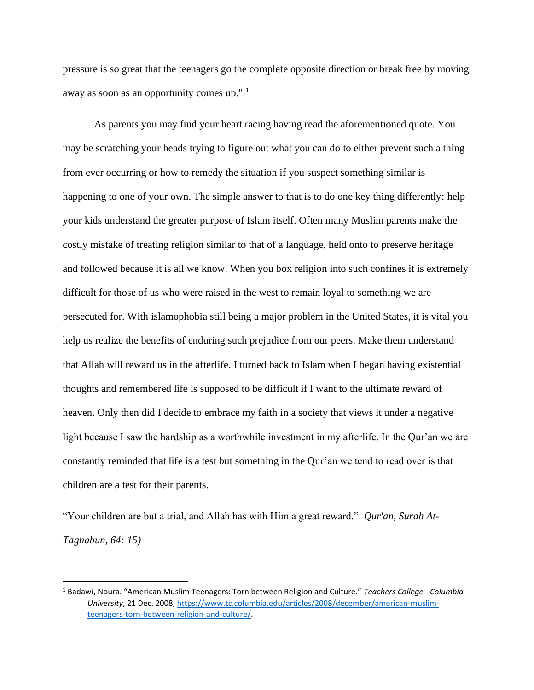pressure is so great that the teenagers go the complete opposite direction or break free by moving away as soon as an opportunity comes up." <sup>1</sup>

As parents you may find your heart racing having read the aforementioned quote. You may be scratching your heads trying to figure out what you can do to either prevent such a thing from ever occurring or how to remedy the situation if you suspect something similar is happening to one of your own. The simple answer to that is to do one key thing differently: help your kids understand the greater purpose of Islam itself. Often many Muslim parents make the costly mistake of treating religion similar to that of a language, held onto to preserve heritage and followed because it is all we know. When you box religion into such confines it is extremely difficult for those of us who were raised in the west to remain loyal to something we are persecuted for. With islamophobia still being a major problem in the United States, it is vital you help us realize the benefits of enduring such prejudice from our peers. Make them understand that Allah will reward us in the afterlife. I turned back to Islam when I began having existential thoughts and remembered life is supposed to be difficult if I want to the ultimate reward of heaven. Only then did I decide to embrace my faith in a society that views it under a negative light because I saw the hardship as a worthwhile investment in my afterlife. In the Qur'an we are constantly reminded that life is a test but something in the Qur'an we tend to read over is that children are a test for their parents.

"Your children are but a trial, and Allah has with Him a great reward." *Qur'an, Surah At-Taghabun, 64: 15)*

<sup>1</sup> Badawi, Noura. "American Muslim Teenagers: Torn between Religion and Culture." *Teachers College - Columbia University*, 21 Dec. 2008, [https://www.tc.columbia.edu/articles/2008/december/american-muslim](https://www.tc.columbia.edu/articles/2008/december/american-muslim-teenagers-torn-between-religion-and-culture/)[teenagers-torn-between-religion-and-culture/.](https://www.tc.columbia.edu/articles/2008/december/american-muslim-teenagers-torn-between-religion-and-culture/)